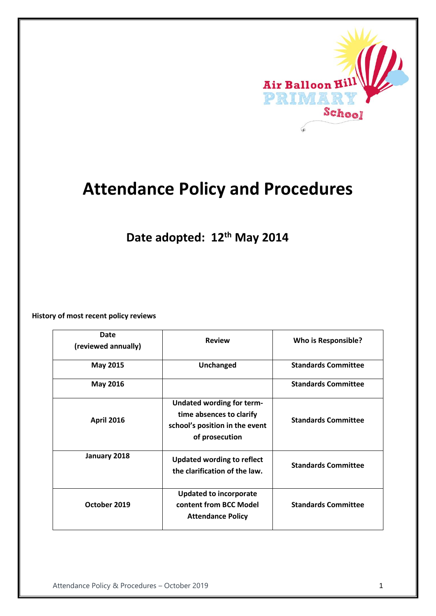

# **Attendance Policy and Procedures**

**Date adopted: 12th May 2014**

**History of most recent policy reviews**

| Date<br>(reviewed annually) | <b>Review</b>                                                                                                    | <b>Who is Responsible?</b> |
|-----------------------------|------------------------------------------------------------------------------------------------------------------|----------------------------|
| May 2015                    | <b>Unchanged</b>                                                                                                 | <b>Standards Committee</b> |
| <b>May 2016</b>             |                                                                                                                  | <b>Standards Committee</b> |
| <b>April 2016</b>           | <b>Undated wording for term-</b><br>time absences to clarify<br>school's position in the event<br>of prosecution | <b>Standards Committee</b> |
| January 2018                | <b>Updated wording to reflect</b><br>the clarification of the law.                                               | <b>Standards Committee</b> |
| October 2019                | <b>Updated to incorporate</b><br>content from BCC Model<br><b>Attendance Policy</b>                              | <b>Standards Committee</b> |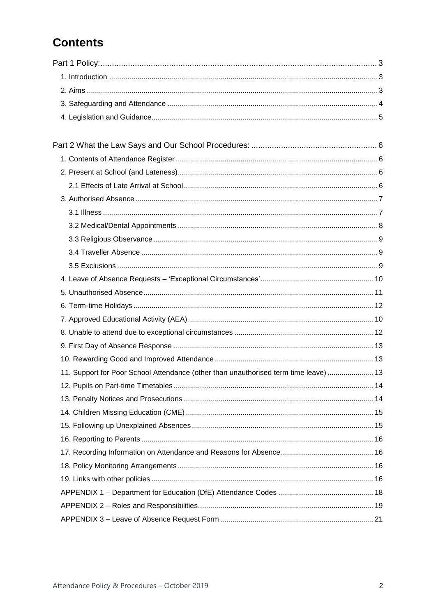# **Contents**

| 11. Support for Poor School Attendance (other than unauthorised term time leave)  13 |  |
|--------------------------------------------------------------------------------------|--|
|                                                                                      |  |
|                                                                                      |  |
|                                                                                      |  |
|                                                                                      |  |
|                                                                                      |  |
|                                                                                      |  |
|                                                                                      |  |
|                                                                                      |  |
|                                                                                      |  |
|                                                                                      |  |
|                                                                                      |  |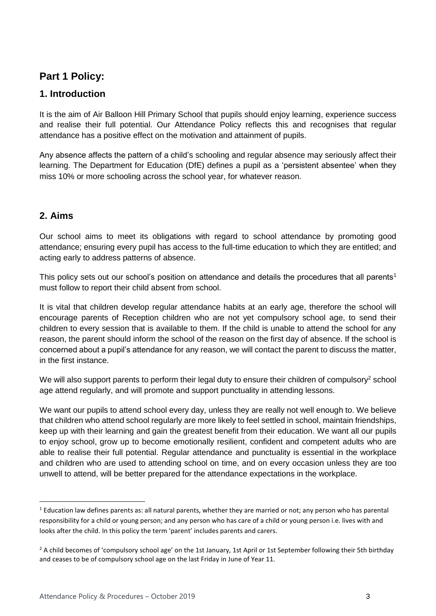### <span id="page-2-0"></span>**Part 1 Policy:**

### <span id="page-2-1"></span>**1. Introduction**

It is the aim of Air Balloon Hill Primary School that pupils should enjoy learning, experience success and realise their full potential. Our Attendance Policy reflects this and recognises that regular attendance has a positive effect on the motivation and attainment of pupils.

Any absence affects the pattern of a child's schooling and regular absence may seriously affect their learning. The Department for Education (DfE) defines a pupil as a 'persistent absentee' when they miss 10% or more schooling across the school year, for whatever reason.

### <span id="page-2-2"></span>**2. Aims**

1

Our school aims to meet its obligations with regard to school attendance by promoting good attendance; ensuring every pupil has access to the full-time education to which they are entitled; and acting early to address patterns of absence.

This policy sets out our school's position on attendance and details the procedures that all parents<sup>1</sup> must follow to report their child absent from school.

It is vital that children develop regular attendance habits at an early age, therefore the school will encourage parents of Reception children who are not yet compulsory school age, to send their children to every session that is available to them. If the child is unable to attend the school for any reason, the parent should inform the school of the reason on the first day of absence. If the school is concerned about a pupil's attendance for any reason, we will contact the parent to discuss the matter, in the first instance.

We will also support parents to perform their legal duty to ensure their children of compulsory<sup>2</sup> school age attend regularly, and will promote and support punctuality in attending lessons.

We want our pupils to attend school every day, unless they are really not well enough to. We believe that children who attend school regularly are more likely to feel settled in school, maintain friendships, keep up with their learning and gain the greatest benefit from their education. We want all our pupils to enjoy school, grow up to become emotionally resilient, confident and competent adults who are able to realise their full potential. Regular attendance and punctuality is essential in the workplace and children who are used to attending school on time, and on every occasion unless they are too unwell to attend, will be better prepared for the attendance expectations in the workplace.

 $1$  Education law defines parents as: all natural parents, whether they are married or not; any person who has parental responsibility for a child or young person; and any person who has care of a child or young person i.e. lives with and looks after the child. In this policy the term 'parent' includes parents and carers.

 $2$  A child becomes of 'compulsory school age' on the 1st January, 1st April or 1st September following their 5th birthday and ceases to be of compulsory school age on the last Friday in June of Year 11.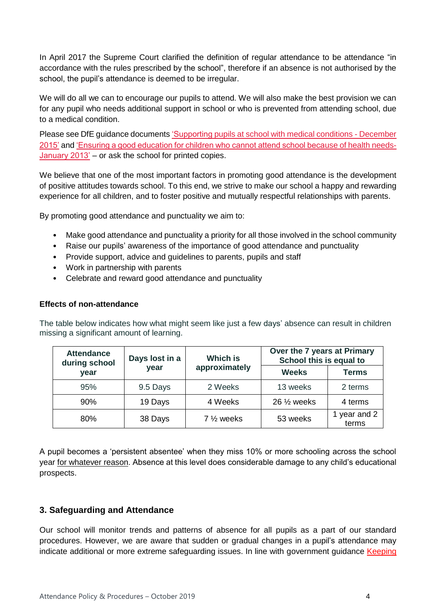In April 2017 the Supreme Court clarified the definition of regular attendance to be attendance "in accordance with the rules prescribed by the school", therefore if an absence is not authorised by the school, the pupil's attendance is deemed to be irregular.

We will do all we can to encourage our pupils to attend. We will also make the best provision we can for any pupil who needs additional support in school or who is prevented from attending school, due to a medical condition.

Please see DfE guidance documents ['Supporting pupils at school with medical conditions -](https://www.gov.uk/government/publications/supporting-pupils-at-school-with-medical-conditions--3) December [2015'](https://www.gov.uk/government/publications/supporting-pupils-at-school-with-medical-conditions--3) and ['Ensuring a good education for children who cannot attend school because of health needs-](https://www.gov.uk/government/publications/education-for-children-with-health-needs-who-cannot-attend-school)[January 2013'](https://www.gov.uk/government/publications/education-for-children-with-health-needs-who-cannot-attend-school) – or ask the school for printed copies.

We believe that one of the most important factors in promoting good attendance is the development of positive attitudes towards school. To this end, we strive to make our school a happy and rewarding experience for all children, and to foster positive and mutually respectful relationships with parents.

By promoting good attendance and punctuality we aim to:

- Make good attendance and punctuality a priority for all those involved in the school community
- Raise our pupils' awareness of the importance of good attendance and punctuality
- Provide support, advice and guidelines to parents, pupils and staff
- Work in partnership with parents
- Celebrate and reward good attendance and punctuality

#### **Effects of non-attendance**

The table below indicates how what might seem like just a few days' absence can result in children missing a significant amount of learning.

| <b>Attendance</b><br>during school | Days lost in a | <b>Which is</b>         | Over the 7 years at Primary<br>School this is equal to |                       |
|------------------------------------|----------------|-------------------------|--------------------------------------------------------|-----------------------|
| vear                               | year           | approximately           | <b>Weeks</b>                                           | <b>Terms</b>          |
| 95%                                | 9.5 Days       | 2 Weeks                 | 13 weeks                                               | 2 terms               |
| 90%                                | 19 Days        | 4 Weeks                 | $26\frac{1}{2}$ weeks                                  | 4 terms               |
| 80%                                | 38 Days        | 7 1/ <sub>2</sub> weeks | 53 weeks                                               | 1 year and 2<br>terms |

A pupil becomes a 'persistent absentee' when they miss 10% or more schooling across the school year for whatever reason. Absence at this level does considerable damage to any child's educational prospects.

### <span id="page-3-0"></span>**3. Safeguarding and Attendance**

Our school will monitor trends and patterns of absence for all pupils as a part of our standard procedures. However, we are aware that sudden or gradual changes in a pupil's attendance may indicate additional or more extreme safeguarding issues. In line with government guidance Keeping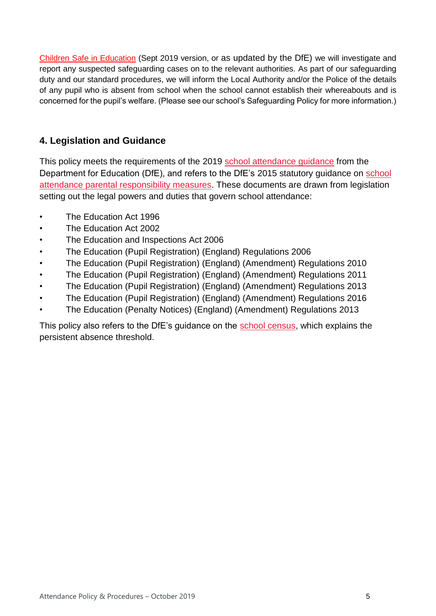[Children Safe in Education](https://www.gov.uk/government/publications/keeping-children-safe-in-education--2) (Sept 2019 version, or as updated by the DfE) we will investigate and report any suspected safeguarding cases on to the relevant authorities. As part of our safeguarding duty and our standard procedures, we will inform the Local Authority and/or the Police of the details of any pupil who is absent from school when the school cannot establish their whereabouts and is concerned for the pupil's welfare. (Please see our school's Safeguarding Policy for more information.)

### <span id="page-4-0"></span>**4. Legislation and Guidance**

This policy meets the requirements of the 2019 [school attendance guidance](https://www.gov.uk/government/publications/school-attendance) from the Department for Education (DfE), and refers to the DfE's 2015 statutory guidance on [school](https://www.gov.uk/government/publications/parental-responsibility-measures-for-behaviour-and-attendance)  [attendance parental responsibility measures.](https://www.gov.uk/government/publications/parental-responsibility-measures-for-behaviour-and-attendance) These documents are drawn from legislation setting out the legal powers and duties that govern school attendance:

- The Education Act 1996
- The Education Act 2002
- The Education and Inspections Act 2006
- The Education (Pupil Registration) (England) Regulations 2006
- The Education (Pupil Registration) (England) (Amendment) Regulations 2010
- The Education (Pupil Registration) (England) (Amendment) Regulations 2011
- The Education (Pupil Registration) (England) (Amendment) Regulations 2013
- The Education (Pupil Registration) (England) (Amendment) Regulations 2016
- The Education (Penalty Notices) (England) (Amendment) Regulations 2013

This policy also refers to the DfE's guidance on the [school census,](https://www.gov.uk/government/publications/school-census-2017-to-2018-guide-for-schools-and-las) which explains the persistent absence threshold.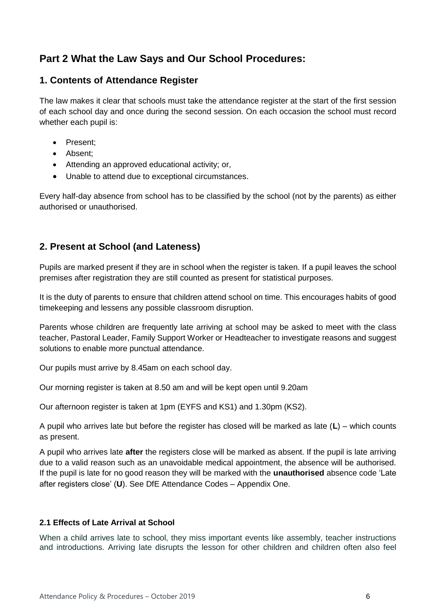## <span id="page-5-0"></span>**Part 2 What the Law Says and Our School Procedures:**

### <span id="page-5-1"></span>**1. Contents of Attendance Register**

The law makes it clear that schools must take the attendance register at the start of the first session of each school day and once during the second session. On each occasion the school must record whether each pupil is:

- Present:
- Absent:
- Attending an approved educational activity; or,
- Unable to attend due to exceptional circumstances.

Every half-day absence from school has to be classified by the school (not by the parents) as either authorised or unauthorised.

### <span id="page-5-2"></span>**2. Present at School (and Lateness)**

Pupils are marked present if they are in school when the register is taken. If a pupil leaves the school premises after registration they are still counted as present for statistical purposes.

It is the duty of parents to ensure that children attend school on time. This encourages habits of good timekeeping and lessens any possible classroom disruption.

Parents whose children are frequently late arriving at school may be asked to meet with the class teacher, Pastoral Leader, Family Support Worker or Headteacher to investigate reasons and suggest solutions to enable more punctual attendance.

Our pupils must arrive by 8.45am on each school day.

Our morning register is taken at 8.50 am and will be kept open until 9.20am

Our afternoon register is taken at 1pm (EYFS and KS1) and 1.30pm (KS2).

A pupil who arrives late but before the register has closed will be marked as late (**L**) – which counts as present.

A pupil who arrives late **after** the registers close will be marked as absent. If the pupil is late arriving due to a valid reason such as an unavoidable medical appointment, the absence will be authorised. If the pupil is late for no good reason they will be marked with the **unauthorised** absence code 'Late after registers close' (**U**). See DfE Attendance Codes – Appendix One.

### <span id="page-5-3"></span>**2.1 Effects of Late Arrival at School**

When a child arrives late to school, they miss important events like assembly, teacher instructions and introductions. Arriving late disrupts the lesson for other children and children often also feel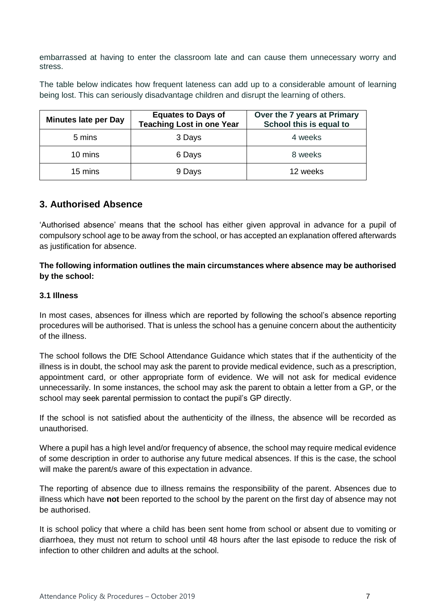embarrassed at having to enter the classroom late and can cause them unnecessary worry and stress.

The table below indicates how frequent lateness can add up to a considerable amount of learning being lost. This can seriously disadvantage children and disrupt the learning of others.

| <b>Minutes late per Day</b> | <b>Equates to Days of</b><br><b>Teaching Lost in one Year</b> | Over the 7 years at Primary<br>School this is equal to |
|-----------------------------|---------------------------------------------------------------|--------------------------------------------------------|
| 5 mins                      | 3 Days                                                        | 4 weeks                                                |
| 10 mins                     | 6 Days                                                        | 8 weeks                                                |
| 15 mins                     | 9 Days                                                        | 12 weeks                                               |

### <span id="page-6-0"></span>**3. Authorised Absence**

'Authorised absence' means that the school has either given approval in advance for a pupil of compulsory school age to be away from the school, or has accepted an explanation offered afterwards as justification for absence.

#### **The following information outlines the main circumstances where absence may be authorised by the school:**

#### <span id="page-6-1"></span>**3.1 Illness**

In most cases, absences for illness which are reported by following the school's absence reporting procedures will be authorised. That is unless the school has a genuine concern about the authenticity of the illness.

The school follows the DfE School Attendance Guidance which states that if the authenticity of the illness is in doubt, the school may ask the parent to provide medical evidence, such as a prescription, appointment card, or other appropriate form of evidence. We will not ask for medical evidence unnecessarily. In some instances, the school may ask the parent to obtain a letter from a GP, or the school may seek parental permission to contact the pupil's GP directly.

If the school is not satisfied about the authenticity of the illness, the absence will be recorded as unauthorised.

Where a pupil has a high level and/or frequency of absence, the school may require medical evidence of some description in order to authorise any future medical absences. If this is the case, the school will make the parent/s aware of this expectation in advance.

The reporting of absence due to illness remains the responsibility of the parent. Absences due to illness which have **not** been reported to the school by the parent on the first day of absence may not be authorised.

It is school policy that where a child has been sent home from school or absent due to vomiting or diarrhoea, they must not return to school until 48 hours after the last episode to reduce the risk of infection to other children and adults at the school.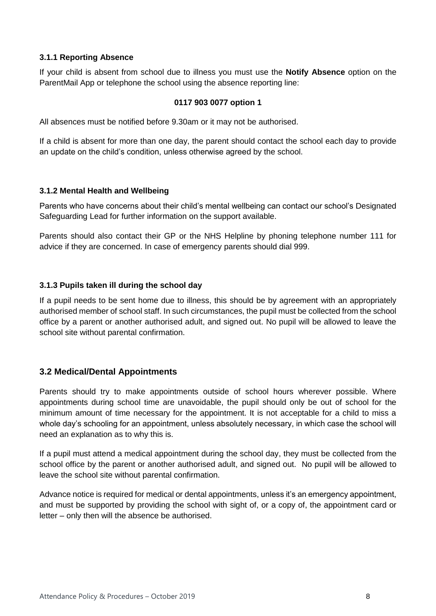#### **3.1.1 Reporting Absence**

If your child is absent from school due to illness you must use the **Notify Absence** option on the ParentMail App or telephone the school using the absence reporting line:

#### **0117 903 0077 option 1**

All absences must be notified before 9.30am or it may not be authorised.

If a child is absent for more than one day, the parent should contact the school each day to provide an update on the child's condition, unless otherwise agreed by the school.

#### **3.1.2 Mental Health and Wellbeing**

Parents who have concerns about their child's mental wellbeing can contact our school's Designated Safeguarding Lead for further information on the support available.

Parents should also contact their GP or the NHS Helpline by phoning telephone number 111 for advice if they are concerned. In case of emergency parents should dial 999.

### **3.1.3 Pupils taken ill during the school day**

If a pupil needs to be sent home due to illness, this should be by agreement with an appropriately authorised member of school staff. In such circumstances, the pupil must be collected from the school office by a parent or another authorised adult, and signed out. No pupil will be allowed to leave the school site without parental confirmation.

### <span id="page-7-0"></span>**3.2 Medical/Dental Appointments**

Parents should try to make appointments outside of school hours wherever possible. Where appointments during school time are unavoidable, the pupil should only be out of school for the minimum amount of time necessary for the appointment. It is not acceptable for a child to miss a whole day's schooling for an appointment, unless absolutely necessary, in which case the school will need an explanation as to why this is.

If a pupil must attend a medical appointment during the school day, they must be collected from the school office by the parent or another authorised adult, and signed out. No pupil will be allowed to leave the school site without parental confirmation.

Advance notice is required for medical or dental appointments, unless it's an emergency appointment, and must be supported by providing the school with sight of, or a copy of, the appointment card or letter – only then will the absence be authorised.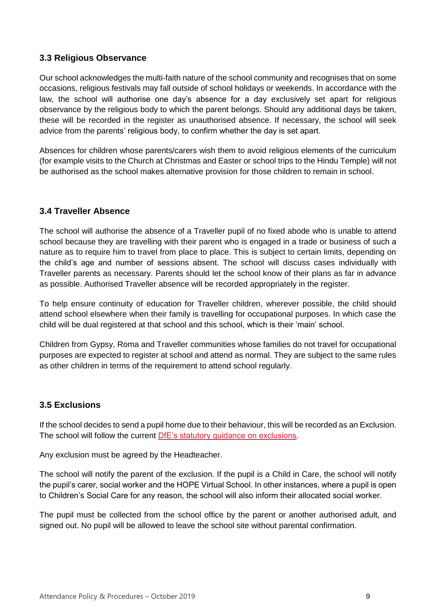### <span id="page-8-0"></span>**3.3 Religious Observance**

Our school acknowledges the multi-faith nature of the school community and recognises that on some occasions, religious festivals may fall outside of school holidays or weekends. In accordance with the law, the school will authorise one day's absence for a day exclusively set apart for religious observance by the religious body to which the parent belongs. Should any additional days be taken, these will be recorded in the register as unauthorised absence. If necessary, the school will seek advice from the parents' religious body, to confirm whether the day is set apart.

Absences for children whose parents/carers wish them to avoid religious elements of the curriculum (for example visits to the Church at Christmas and Easter or school trips to the Hindu Temple) will not be authorised as the school makes alternative provision for those children to remain in school.

### <span id="page-8-1"></span>**3.4 Traveller Absence**

The school will authorise the absence of a Traveller pupil of no fixed abode who is unable to attend school because they are travelling with their parent who is engaged in a trade or business of such a nature as to require him to travel from place to place. This is subject to certain limits, depending on the child's age and number of sessions absent. The school will discuss cases individually with Traveller parents as necessary. Parents should let the school know of their plans as far in advance as possible. Authorised Traveller absence will be recorded appropriately in the register.

To help ensure continuity of education for Traveller children, wherever possible, the child should attend school elsewhere when their family is travelling for occupational purposes. In which case the child will be dual registered at that school and this school, which is their 'main' school.

Children from Gypsy, Roma and Traveller communities whose families do not travel for occupational purposes are expected to register at school and attend as normal. They are subject to the same rules as other children in terms of the requirement to attend school regularly.

### <span id="page-8-2"></span>**3.5 Exclusions**

If the school decides to send a pupil home due to their behaviour, this will be recorded as an Exclusion. The school will follow the current [DfE's statutory guidance on exclusions.](https://www.gov.uk/government/publications/school-exclusion)

Any exclusion must be agreed by the Headteacher.

The school will notify the parent of the exclusion. If the pupil is a Child in Care, the school will notify the pupil's carer, social worker and the HOPE Virtual School. In other instances, where a pupil is open to Children's Social Care for any reason, the school will also inform their allocated social worker.

<span id="page-8-3"></span>The pupil must be collected from the school office by the parent or another authorised adult, and signed out. No pupil will be allowed to leave the school site without parental confirmation.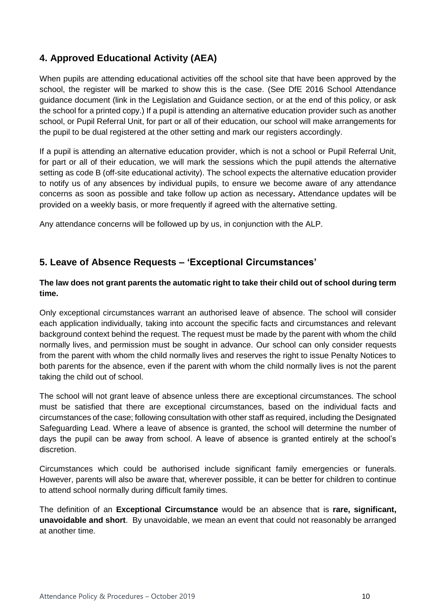### **4. Approved Educational Activity (AEA)**

When pupils are attending educational activities off the school site that have been approved by the school, the register will be marked to show this is the case. (See DfE 2016 School Attendance guidance document (link in the Legislation and Guidance section, or at the end of this policy, or ask the school for a printed copy.) If a pupil is attending an alternative education provider such as another school, or Pupil Referral Unit, for part or all of their education, our school will make arrangements for the pupil to be dual registered at the other setting and mark our registers accordingly.

If a pupil is attending an alternative education provider, which is not a school or Pupil Referral Unit, for part or all of their education, we will mark the sessions which the pupil attends the alternative setting as code B (off-site educational activity). The school expects the alternative education provider to notify us of any absences by individual pupils, to ensure we become aware of any attendance concerns as soon as possible and take follow up action as necessary**.** Attendance updates will be provided on a weekly basis, or more frequently if agreed with the alternative setting.

Any attendance concerns will be followed up by us, in conjunction with the ALP.

### <span id="page-9-0"></span>**5. Leave of Absence Requests – 'Exceptional Circumstances'**

#### **The law does not grant parents the automatic right to take their child out of school during term time.**

Only exceptional circumstances warrant an authorised leave of absence. The school will consider each application individually, taking into account the specific facts and circumstances and relevant background context behind the request. The request must be made by the parent with whom the child normally lives, and permission must be sought in advance. Our school can only consider requests from the parent with whom the child normally lives and reserves the right to issue Penalty Notices to both parents for the absence, even if the parent with whom the child normally lives is not the parent taking the child out of school.

The school will not grant leave of absence unless there are exceptional circumstances. The school must be satisfied that there are exceptional circumstances, based on the individual facts and circumstances of the case; following consultation with other staff as required, including the Designated Safeguarding Lead. Where a leave of absence is granted, the school will determine the number of days the pupil can be away from school. A leave of absence is granted entirely at the school's discretion.

Circumstances which could be authorised include significant family emergencies or funerals. However, parents will also be aware that, wherever possible, it can be better for children to continue to attend school normally during difficult family times.

The definition of an **Exceptional Circumstance** would be an absence that is **rare, significant, unavoidable and short**. By unavoidable, we mean an event that could not reasonably be arranged at another time.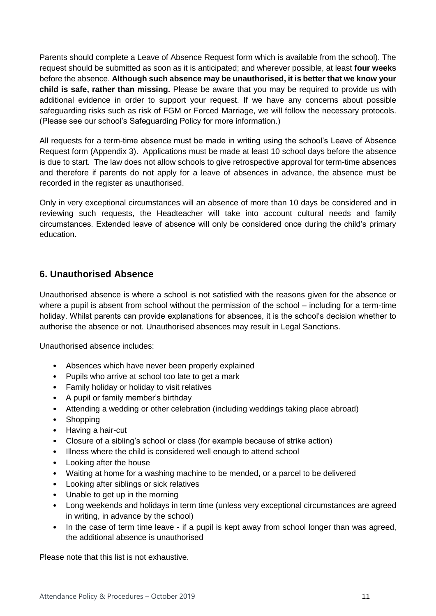Parents should complete a Leave of Absence Request form which is available from the school). The request should be submitted as soon as it is anticipated; and wherever possible, at least **four weeks**  before the absence. **Although such absence may be unauthorised, it is better that we know your child is safe, rather than missing.** Please be aware that you may be required to provide us with additional evidence in order to support your request. If we have any concerns about possible safeguarding risks such as risk of FGM or Forced Marriage, we will follow the necessary protocols. (Please see our school's Safeguarding Policy for more information.)

All requests for a term-time absence must be made in writing using the school's Leave of Absence Request form (Appendix 3). Applications must be made at least 10 school days before the absence is due to start. The law does not allow schools to give retrospective approval for term-time absences and therefore if parents do not apply for a leave of absences in advance, the absence must be recorded in the register as unauthorised.

Only in very exceptional circumstances will an absence of more than 10 days be considered and in reviewing such requests, the Headteacher will take into account cultural needs and family circumstances. Extended leave of absence will only be considered once during the child's primary education.

### <span id="page-10-0"></span>**6. Unauthorised Absence**

Unauthorised absence is where a school is not satisfied with the reasons given for the absence or where a pupil is absent from school without the permission of the school – including for a term-time holiday. Whilst parents can provide explanations for absences, it is the school's decision whether to authorise the absence or not. Unauthorised absences may result in Legal Sanctions.

Unauthorised absence includes:

- Absences which have never been properly explained
- Pupils who arrive at school too late to get a mark
- Family holiday or holiday to visit relatives
- A pupil or family member's birthday
- Attending a wedding or other celebration (including weddings taking place abroad)
- Shopping
- Having a hair-cut
- Closure of a sibling's school or class (for example because of strike action)
- Illness where the child is considered well enough to attend school
- Looking after the house
- Waiting at home for a washing machine to be mended, or a parcel to be delivered
- Looking after siblings or sick relatives
- Unable to get up in the morning
- Long weekends and holidays in term time (unless very exceptional circumstances are agreed in writing, in advance by the school)
- In the case of term time leave if a pupil is kept away from school longer than was agreed, the additional absence is unauthorised

Please note that this list is not exhaustive.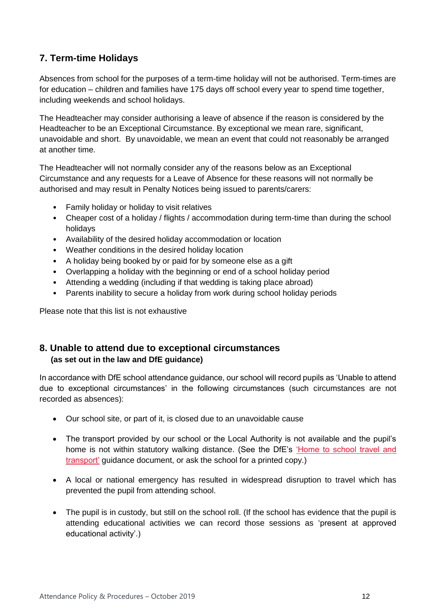### <span id="page-11-0"></span>**7. Term-time Holidays**

Absences from school for the purposes of a term-time holiday will not be authorised. Term-times are for education – children and families have 175 days off school every year to spend time together, including weekends and school holidays.

The Headteacher may consider authorising a leave of absence if the reason is considered by the Headteacher to be an Exceptional Circumstance. By exceptional we mean rare, significant, unavoidable and short. By unavoidable, we mean an event that could not reasonably be arranged at another time.

The Headteacher will not normally consider any of the reasons below as an Exceptional Circumstance and any requests for a Leave of Absence for these reasons will not normally be authorised and may result in Penalty Notices being issued to parents/carers:

- Family holiday or holiday to visit relatives
- Cheaper cost of a holiday / flights / accommodation during term-time than during the school holidays
- Availability of the desired holiday accommodation or location
- Weather conditions in the desired holiday location
- A holiday being booked by or paid for by someone else as a gift
- Overlapping a holiday with the beginning or end of a school holiday period
- Attending a wedding (including if that wedding is taking place abroad)
- Parents inability to secure a holiday from work during school holiday periods

Please note that this list is not exhaustive

### <span id="page-11-1"></span>**8. Unable to attend due to exceptional circumstances (as set out in the law and DfE guidance)**

In accordance with DfE school attendance guidance, our school will record pupils as 'Unable to attend due to exceptional circumstances' in the following circumstances (such circumstances are not recorded as absences):

- Our school site, or part of it, is closed due to an unavoidable cause
- The transport provided by our school or the Local Authority is not available and the pupil's home is not within statutory walking distance. (See the DfE's ['Home to school travel and](https://www.gov.uk/government/publications/home-to-school-travel-and-transport-guidance)  [transport'](https://www.gov.uk/government/publications/home-to-school-travel-and-transport-guidance) guidance document, or ask the school for a printed copy.)
- A local or national emergency has resulted in widespread disruption to travel which has prevented the pupil from attending school.
- The pupil is in custody, but still on the school roll. (If the school has evidence that the pupil is attending educational activities we can record those sessions as 'present at approved educational activity'.)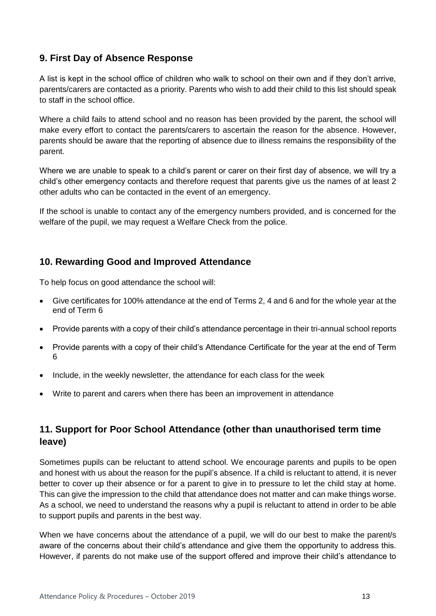### <span id="page-12-0"></span>**9. First Day of Absence Response**

A list is kept in the school office of children who walk to school on their own and if they don't arrive, parents/carers are contacted as a priority. Parents who wish to add their child to this list should speak to staff in the school office.

Where a child fails to attend school and no reason has been provided by the parent, the school will make every effort to contact the parents/carers to ascertain the reason for the absence. However, parents should be aware that the reporting of absence due to illness remains the responsibility of the parent.

Where we are unable to speak to a child's parent or carer on their first day of absence, we will try a child's other emergency contacts and therefore request that parents give us the names of at least 2 other adults who can be contacted in the event of an emergency.

If the school is unable to contact any of the emergency numbers provided, and is concerned for the welfare of the pupil, we may request a Welfare Check from the police.

### <span id="page-12-1"></span>**10. Rewarding Good and Improved Attendance**

To help focus on good attendance the school will:

- Give certificates for 100% attendance at the end of Terms 2, 4 and 6 and for the whole year at the end of Term 6
- Provide parents with a copy of their child's attendance percentage in their tri-annual school reports
- Provide parents with a copy of their child's Attendance Certificate for the year at the end of Term 6
- Include, in the weekly newsletter, the attendance for each class for the week
- Write to parent and carers when there has been an improvement in attendance

### <span id="page-12-2"></span>**11. Support for Poor School Attendance (other than unauthorised term time leave)**

Sometimes pupils can be reluctant to attend school. We encourage parents and pupils to be open and honest with us about the reason for the pupil's absence. If a child is reluctant to attend, it is never better to cover up their absence or for a parent to give in to pressure to let the child stay at home. This can give the impression to the child that attendance does not matter and can make things worse. As a school, we need to understand the reasons why a pupil is reluctant to attend in order to be able to support pupils and parents in the best way.

When we have concerns about the attendance of a pupil, we will do our best to make the parent/s aware of the concerns about their child's attendance and give them the opportunity to address this. However, if parents do not make use of the support offered and improve their child's attendance to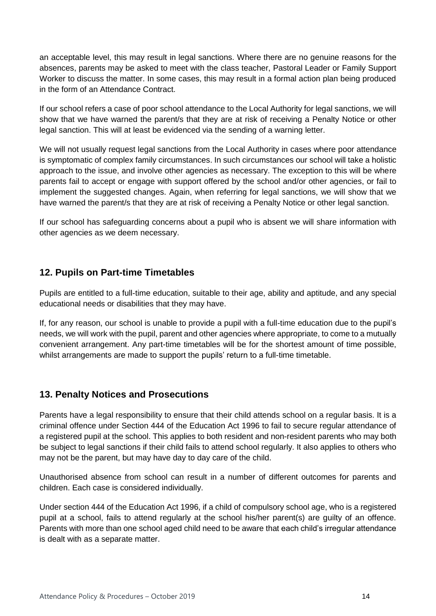an acceptable level, this may result in legal sanctions. Where there are no genuine reasons for the absences, parents may be asked to meet with the class teacher, Pastoral Leader or Family Support Worker to discuss the matter. In some cases, this may result in a formal action plan being produced in the form of an Attendance Contract.

If our school refers a case of poor school attendance to the Local Authority for legal sanctions, we will show that we have warned the parent/s that they are at risk of receiving a Penalty Notice or other legal sanction. This will at least be evidenced via the sending of a warning letter.

We will not usually request legal sanctions from the Local Authority in cases where poor attendance is symptomatic of complex family circumstances. In such circumstances our school will take a holistic approach to the issue, and involve other agencies as necessary. The exception to this will be where parents fail to accept or engage with support offered by the school and/or other agencies, or fail to implement the suggested changes. Again, when referring for legal sanctions, we will show that we have warned the parent/s that they are at risk of receiving a Penalty Notice or other legal sanction.

If our school has safeguarding concerns about a pupil who is absent we will share information with other agencies as we deem necessary.

### <span id="page-13-0"></span>**12. Pupils on Part-time Timetables**

Pupils are entitled to a full-time education, suitable to their age, ability and aptitude, and any special educational needs or disabilities that they may have.

If, for any reason, our school is unable to provide a pupil with a full-time education due to the pupil's needs, we will work with the pupil, parent and other agencies where appropriate, to come to a mutually convenient arrangement. Any part-time timetables will be for the shortest amount of time possible, whilst arrangements are made to support the pupils' return to a full-time timetable.

### <span id="page-13-1"></span>**13. Penalty Notices and Prosecutions**

Parents have a legal responsibility to ensure that their child attends school on a regular basis. It is a criminal offence under Section 444 of the Education Act 1996 to fail to secure regular attendance of a registered pupil at the school. This applies to both resident and non-resident parents who may both be subject to legal sanctions if their child fails to attend school regularly. It also applies to others who may not be the parent, but may have day to day care of the child.

Unauthorised absence from school can result in a number of different outcomes for parents and children. Each case is considered individually.

Under section 444 of the Education Act 1996, if a child of compulsory school age, who is a registered pupil at a school, fails to attend regularly at the school his/her parent(s) are guilty of an offence. Parents with more than one school aged child need to be aware that each child's irregular attendance is dealt with as a separate matter.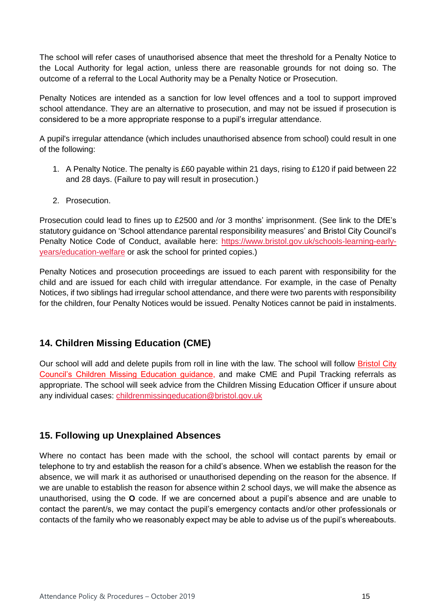The school will refer cases of unauthorised absence that meet the threshold for a Penalty Notice to the Local Authority for legal action, unless there are reasonable grounds for not doing so. The outcome of a referral to the Local Authority may be a Penalty Notice or Prosecution.

Penalty Notices are intended as a sanction for low level offences and a tool to support improved school attendance. They are an alternative to prosecution, and may not be issued if prosecution is considered to be a more appropriate response to a pupil's irregular attendance.

A pupil's irregular attendance (which includes unauthorised absence from school) could result in one of the following:

- 1. A Penalty Notice. The penalty is £60 payable within 21 days, rising to £120 if paid between 22 and 28 days. (Failure to pay will result in prosecution.)
- 2. Prosecution.

Prosecution could lead to fines up to £2500 and /or 3 months' imprisonment. (See link to the DfE's statutory guidance on 'School attendance parental responsibility measures' and Bristol City Council's Penalty Notice Code of Conduct, available here: [https://www.bristol.gov.uk/schools-learning-early](https://www.bristol.gov.uk/schools-learning-early-years/education-welfare)[years/education-welfare](https://www.bristol.gov.uk/schools-learning-early-years/education-welfare) or ask the school for printed copies.)

Penalty Notices and prosecution proceedings are issued to each parent with responsibility for the child and are issued for each child with irregular attendance. For example, in the case of Penalty Notices, if two siblings had irregular school attendance, and there were two parents with responsibility for the children, four Penalty Notices would be issued. Penalty Notices cannot be paid in instalments.

### <span id="page-14-0"></span>**14. Children Missing Education (CME)**

Our school will add and delete pupils from roll in line with the law. The school will follow Bristol City [Council's Children Missing Education guidance,](https://www.bristol.gov.uk/schools-learning-early-years/children-missing-education-cme) and make CME and Pupil Tracking referrals as appropriate. The school will seek advice from the Children Missing Education Officer if unsure about any individual cases: [childrenmissingeducation@bristol.gov.uk](mailto:childrenmissingeducation@bristol.gov.uk)

### <span id="page-14-1"></span>**15. Following up Unexplained Absences**

Where no contact has been made with the school, the school will contact parents by email or telephone to try and establish the reason for a child's absence. When we establish the reason for the absence, we will mark it as authorised or unauthorised depending on the reason for the absence. If we are unable to establish the reason for absence within 2 school days, we will make the absence as unauthorised, using the **O** code. If we are concerned about a pupil's absence and are unable to contact the parent/s, we may contact the pupil's emergency contacts and/or other professionals or contacts of the family who we reasonably expect may be able to advise us of the pupil's whereabouts.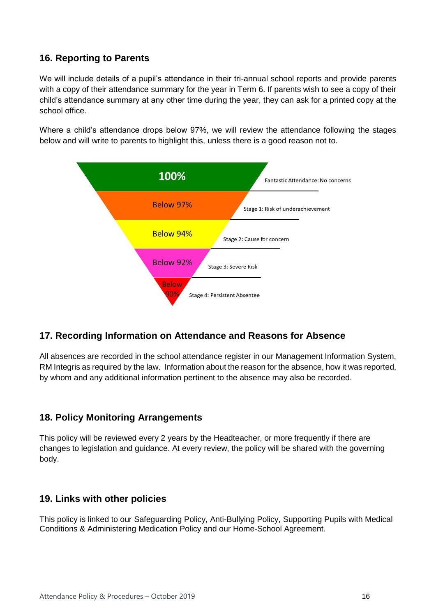### <span id="page-15-0"></span>**16. Reporting to Parents**

We will include details of a pupil's attendance in their tri-annual school reports and provide parents with a copy of their attendance summary for the year in Term 6. If parents wish to see a copy of their child's attendance summary at any other time during the year, they can ask for a printed copy at the school office.

Where a child's attendance drops below 97%, we will review the attendance following the stages below and will write to parents to highlight this, unless there is a good reason not to.



### <span id="page-15-1"></span>**17. Recording Information on Attendance and Reasons for Absence**

All absences are recorded in the school attendance register in our Management Information System, RM Integris as required by the law. Information about the reason for the absence, how it was reported, by whom and any additional information pertinent to the absence may also be recorded.

### <span id="page-15-2"></span>**18. Policy Monitoring Arrangements**

This policy will be reviewed every 2 years by the Headteacher, or more frequently if there are changes to legislation and guidance. At every review, the policy will be shared with the governing body.

### <span id="page-15-3"></span>**19. Links with other policies**

This policy is linked to our Safeguarding Policy, Anti-Bullying Policy, Supporting Pupils with Medical Conditions & Administering Medication Policy and our Home-School Agreement.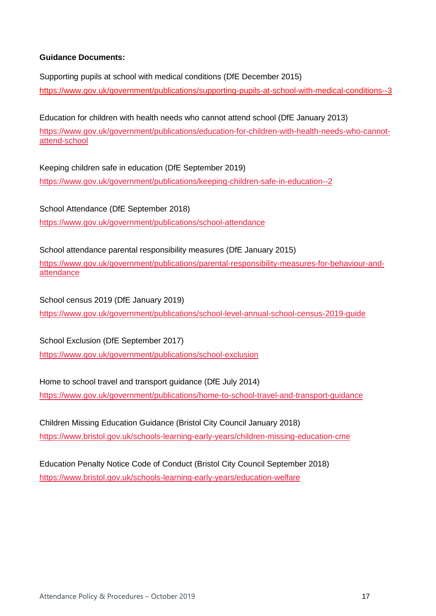#### **Guidance Documents:**

Supporting pupils at school with medical conditions (DfE December 2015) <https://www.gov.uk/government/publications/supporting-pupils-at-school-with-medical-conditions--3>

Education for children with health needs who cannot attend school (DfE January 2013) [https://www.gov.uk/government/publications/education-for-children-with-health-needs-who-cannot](https://www.gov.uk/government/publications/education-for-children-with-health-needs-who-cannot-attend-school)[attend-school](https://www.gov.uk/government/publications/education-for-children-with-health-needs-who-cannot-attend-school)

Keeping children safe in education (DfE September 2019) https://www.gov.uk/government/publications/keeping-children-safe-in-education--2

School Attendance (DfE September 2018) <https://www.gov.uk/government/publications/school-attendance>

School attendance parental responsibility measures (DfE January 2015) [https://www.gov.uk/government/publications/parental-responsibility-measures-for-behaviour-and](https://www.gov.uk/government/publications/parental-responsibility-measures-for-behaviour-and-attendance)[attendance](https://www.gov.uk/government/publications/parental-responsibility-measures-for-behaviour-and-attendance)

School census 2019 (DfE January 2019) <https://www.gov.uk/government/publications/school-level-annual-school-census-2019-guide>

School Exclusion (DfE September 2017) <https://www.gov.uk/government/publications/school-exclusion>

Home to school travel and transport guidance (DfE July 2014) <https://www.gov.uk/government/publications/home-to-school-travel-and-transport-guidance>

Children Missing Education Guidance (Bristol City Council January 2018) <https://www.bristol.gov.uk/schools-learning-early-years/children-missing-education-cme>

Education Penalty Notice Code of Conduct (Bristol City Council September 2018) <https://www.bristol.gov.uk/schools-learning-early-years/education-welfare>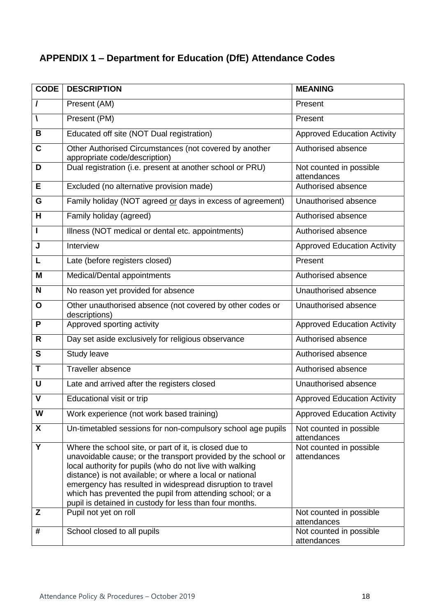# <span id="page-17-0"></span>**APPENDIX 1 – Department for Education (DfE) Attendance Codes**

| <b>CODE</b>  | <b>DESCRIPTION</b>                                                                                                                                                                                                                                                                                                                                                                                                                   | <b>MEANING</b>                         |
|--------------|--------------------------------------------------------------------------------------------------------------------------------------------------------------------------------------------------------------------------------------------------------------------------------------------------------------------------------------------------------------------------------------------------------------------------------------|----------------------------------------|
| $\prime$     | Present (AM)                                                                                                                                                                                                                                                                                                                                                                                                                         | Present                                |
| V            | Present (PM)                                                                                                                                                                                                                                                                                                                                                                                                                         | Present                                |
| B            | Educated off site (NOT Dual registration)                                                                                                                                                                                                                                                                                                                                                                                            | <b>Approved Education Activity</b>     |
| C            | Other Authorised Circumstances (not covered by another<br>appropriate code/description)                                                                                                                                                                                                                                                                                                                                              | Authorised absence                     |
| D            | Dual registration (i.e. present at another school or PRU)                                                                                                                                                                                                                                                                                                                                                                            | Not counted in possible<br>attendances |
| E            | Excluded (no alternative provision made)                                                                                                                                                                                                                                                                                                                                                                                             | Authorised absence                     |
| G            | Family holiday (NOT agreed or days in excess of agreement)                                                                                                                                                                                                                                                                                                                                                                           | Unauthorised absence                   |
| H            | Family holiday (agreed)                                                                                                                                                                                                                                                                                                                                                                                                              | Authorised absence                     |
| Ш            | Illness (NOT medical or dental etc. appointments)                                                                                                                                                                                                                                                                                                                                                                                    | Authorised absence                     |
| J            | Interview                                                                                                                                                                                                                                                                                                                                                                                                                            | <b>Approved Education Activity</b>     |
| L            | Late (before registers closed)                                                                                                                                                                                                                                                                                                                                                                                                       | Present                                |
| M            | Medical/Dental appointments                                                                                                                                                                                                                                                                                                                                                                                                          | Authorised absence                     |
| N            | No reason yet provided for absence                                                                                                                                                                                                                                                                                                                                                                                                   | Unauthorised absence                   |
| O            | Other unauthorised absence (not covered by other codes or<br>descriptions)                                                                                                                                                                                                                                                                                                                                                           | Unauthorised absence                   |
| P            | Approved sporting activity                                                                                                                                                                                                                                                                                                                                                                                                           | <b>Approved Education Activity</b>     |
| R            | Day set aside exclusively for religious observance                                                                                                                                                                                                                                                                                                                                                                                   | Authorised absence                     |
| $\mathbf{s}$ | Study leave                                                                                                                                                                                                                                                                                                                                                                                                                          | Authorised absence                     |
| Т            | Traveller absence                                                                                                                                                                                                                                                                                                                                                                                                                    | Authorised absence                     |
| U            | Late and arrived after the registers closed                                                                                                                                                                                                                                                                                                                                                                                          | Unauthorised absence                   |
| v            | Educational visit or trip                                                                                                                                                                                                                                                                                                                                                                                                            | <b>Approved Education Activity</b>     |
| W            | Work experience (not work based training)                                                                                                                                                                                                                                                                                                                                                                                            | <b>Approved Education Activity</b>     |
| X            | Un-timetabled sessions for non-compulsory school age pupils                                                                                                                                                                                                                                                                                                                                                                          | Not counted in possible<br>attendances |
| Y            | Where the school site, or part of it, is closed due to<br>unavoidable cause; or the transport provided by the school or<br>local authority for pupils (who do not live with walking<br>distance) is not available; or where a local or national<br>emergency has resulted in widespread disruption to travel<br>which has prevented the pupil from attending school; or a<br>pupil is detained in custody for less than four months. | Not counted in possible<br>attendances |
| Z            | Pupil not yet on roll                                                                                                                                                                                                                                                                                                                                                                                                                | Not counted in possible<br>attendances |
| #            | School closed to all pupils                                                                                                                                                                                                                                                                                                                                                                                                          | Not counted in possible<br>attendances |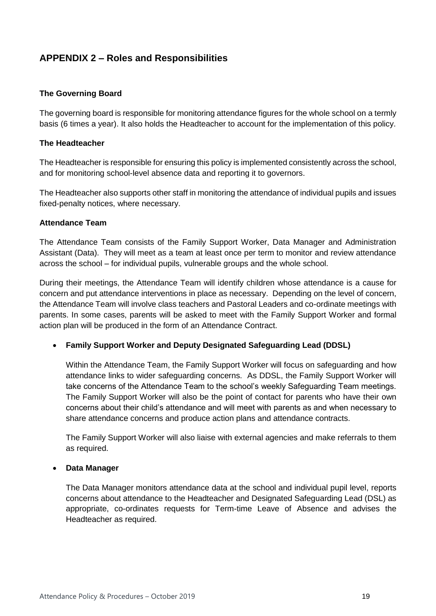### <span id="page-18-0"></span>**APPENDIX 2 – Roles and Responsibilities**

#### **The Governing Board**

The governing board is responsible for monitoring attendance figures for the whole school on a termly basis (6 times a year). It also holds the Headteacher to account for the implementation of this policy.

#### **The Headteacher**

The Headteacher is responsible for ensuring this policy is implemented consistently across the school, and for monitoring school-level absence data and reporting it to governors.

The Headteacher also supports other staff in monitoring the attendance of individual pupils and issues fixed-penalty notices, where necessary.

#### **Attendance Team**

The Attendance Team consists of the Family Support Worker, Data Manager and Administration Assistant (Data). They will meet as a team at least once per term to monitor and review attendance across the school – for individual pupils, vulnerable groups and the whole school.

During their meetings, the Attendance Team will identify children whose attendance is a cause for concern and put attendance interventions in place as necessary. Depending on the level of concern, the Attendance Team will involve class teachers and Pastoral Leaders and co-ordinate meetings with parents. In some cases, parents will be asked to meet with the Family Support Worker and formal action plan will be produced in the form of an Attendance Contract.

### **Family Support Worker and Deputy Designated Safeguarding Lead (DDSL)**

Within the Attendance Team, the Family Support Worker will focus on safeguarding and how attendance links to wider safeguarding concerns. As DDSL, the Family Support Worker will take concerns of the Attendance Team to the school's weekly Safeguarding Team meetings. The Family Support Worker will also be the point of contact for parents who have their own concerns about their child's attendance and will meet with parents as and when necessary to share attendance concerns and produce action plans and attendance contracts.

The Family Support Worker will also liaise with external agencies and make referrals to them as required.

#### **Data Manager**

The Data Manager monitors attendance data at the school and individual pupil level, reports concerns about attendance to the Headteacher and Designated Safeguarding Lead (DSL) as appropriate, co-ordinates requests for Term-time Leave of Absence and advises the Headteacher as required.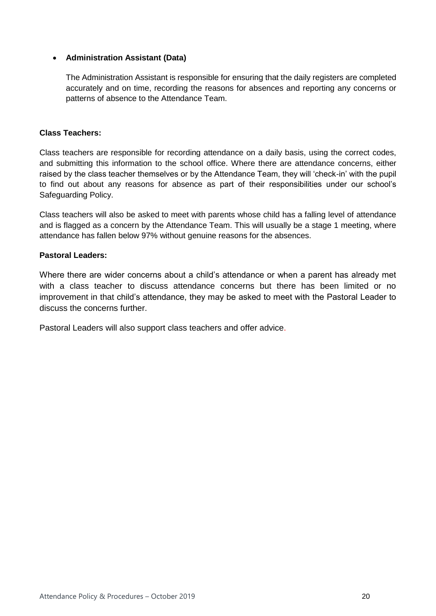#### **Administration Assistant (Data)**

The Administration Assistant is responsible for ensuring that the daily registers are completed accurately and on time, recording the reasons for absences and reporting any concerns or patterns of absence to the Attendance Team.

#### **Class Teachers:**

Class teachers are responsible for recording attendance on a daily basis, using the correct codes, and submitting this information to the school office. Where there are attendance concerns, either raised by the class teacher themselves or by the Attendance Team, they will 'check-in' with the pupil to find out about any reasons for absence as part of their responsibilities under our school's Safeguarding Policy.

Class teachers will also be asked to meet with parents whose child has a falling level of attendance and is flagged as a concern by the Attendance Team. This will usually be a stage 1 meeting, where attendance has fallen below 97% without genuine reasons for the absences.

#### **Pastoral Leaders:**

Where there are wider concerns about a child's attendance or when a parent has already met with a class teacher to discuss attendance concerns but there has been limited or no improvement in that child's attendance, they may be asked to meet with the Pastoral Leader to discuss the concerns further.

Pastoral Leaders will also support class teachers and offer advice.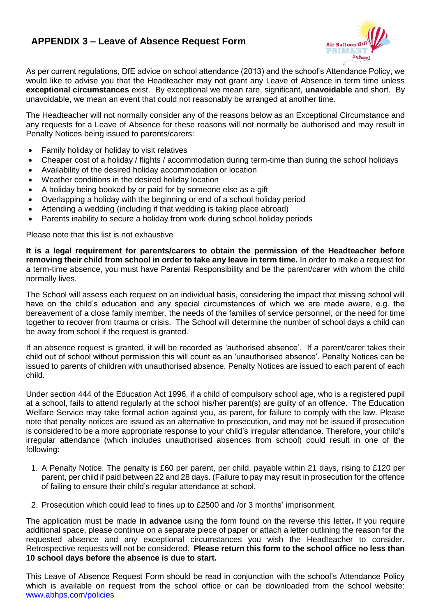### <span id="page-20-0"></span>**APPENDIX 3 – Leave of Absence Request Form**



As per current regulations, DfE advice on school attendance (2013) and the school's Attendance Policy, we would like to advise you that the Headteacher may not grant any Leave of Absence in term time unless **exceptional circumstances** exist. By exceptional we mean rare, significant, **unavoidable** and short.By unavoidable, we mean an event that could not reasonably be arranged at another time.

The Headteacher will not normally consider any of the reasons below as an Exceptional Circumstance and any requests for a Leave of Absence for these reasons will not normally be authorised and may result in Penalty Notices being issued to parents/carers:

- Family holiday or holiday to visit relatives
- Cheaper cost of a holiday / flights / accommodation during term-time than during the school holidays
- Availability of the desired holiday accommodation or location
- Weather conditions in the desired holiday location
- A holiday being booked by or paid for by someone else as a gift
- Overlapping a holiday with the beginning or end of a school holiday period
- Attending a wedding (including if that wedding is taking place abroad)
- Parents inability to secure a holiday from work during school holiday periods

Please note that this list is not exhaustive

**It is a legal requirement for parents/carers to obtain the permission of the Headteacher before removing their child from school in order to take any leave in term time.** In order to make a request for a term-time absence, you must have Parental Responsibility and be the parent/carer with whom the child normally lives.

The School will assess each request on an individual basis, considering the impact that missing school will have on the child's education and any special circumstances of which we are made aware, e.g. the bereavement of a close family member, the needs of the families of service personnel, or the need for time together to recover from trauma or crisis. The School will determine the number of school days a child can be away from school if the request is granted.

If an absence request is granted, it will be recorded as 'authorised absence'. If a parent/carer takes their child out of school without permission this will count as an 'unauthorised absence'. Penalty Notices can be issued to parents of children with unauthorised absence. Penalty Notices are issued to each parent of each child.

Under section 444 of the Education Act 1996, if a child of compulsory school age, who is a registered pupil at a school, fails to attend regularly at the school his/her parent(s) are guilty of an offence. The Education Welfare Service may take formal action against you, as parent, for failure to comply with the law. Please note that penalty notices are issued as an alternative to prosecution, and may not be issued if prosecution is considered to be a more appropriate response to your child's irregular attendance. Therefore, your child's irregular attendance (which includes unauthorised absences from school) could result in one of the following:

- 1. A Penalty Notice. The penalty is £60 per parent, per child, payable within 21 days, rising to £120 per parent, per child if paid between 22 and 28 days. (Failure to pay may result in prosecution for the offence of failing to ensure their child's regular attendance at school.
- 2. Prosecution which could lead to fines up to £2500 and /or 3 months' imprisonment.

The application must be made **in advance** using the form found on the reverse this letter**.** If you require additional space, please continue on a separate piece of paper or attach a letter outlining the reason for the requested absence and any exceptional circumstances you wish the Headteacher to consider. Retrospective requests will not be considered. **Please return this form to the school office no less than 10 school days before the absence is due to start.**

This Leave of Absence Request Form should be read in conjunction with the school's Attendance Policy which is available on request from the school office or can be downloaded from the school website: [www.abhps.com/policies](http://www.abhps.com/policies)